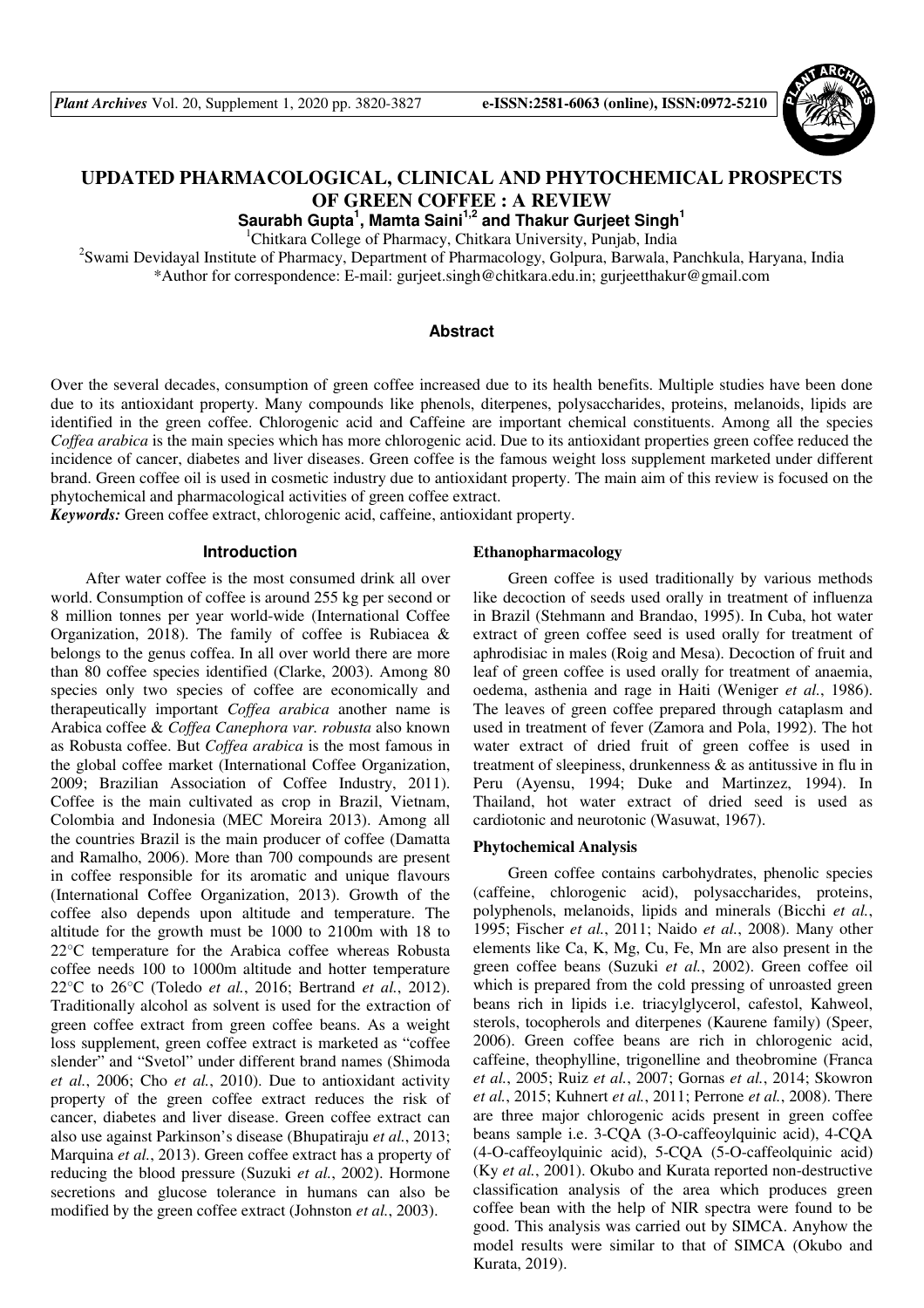

# **UPDATED PHARMACOLOGICAL, CLINICAL AND PHYTOCHEMICAL PROSPECTS OF GREEN COFFEE : A REVIEW**

**Saurabh Gupta<sup>1</sup> , Mamta Saini1,2 and Thakur Gurjeet Singh<sup>1</sup>**

<sup>1</sup>Chitkara College of Pharmacy, Chitkara University, Punjab, India

<sup>2</sup>Swami Devidayal Institute of Pharmacy, Department of Pharmacology, Golpura, Barwala, Panchkula, Haryana, India \*Author for correspondence: E-mail: gurjeet.singh@chitkara.edu.in; gurjeetthakur@gmail.com

### **Abstract**

Over the several decades, consumption of green coffee increased due to its health benefits. Multiple studies have been done due to its antioxidant property. Many compounds like phenols, diterpenes, polysaccharides, proteins, melanoids, lipids are identified in the green coffee. Chlorogenic acid and Caffeine are important chemical constituents. Among all the species *Coffea arabica* is the main species which has more chlorogenic acid. Due to its antioxidant properties green coffee reduced the incidence of cancer, diabetes and liver diseases. Green coffee is the famous weight loss supplement marketed under different brand. Green coffee oil is used in cosmetic industry due to antioxidant property. The main aim of this review is focused on the phytochemical and pharmacological activities of green coffee extract.

*Keywords:* Green coffee extract, chlorogenic acid, caffeine, antioxidant property.

## **Introduction**

After water coffee is the most consumed drink all over world. Consumption of coffee is around 255 kg per second or 8 million tonnes per year world-wide (International Coffee Organization, 2018). The family of coffee is Rubiacea & belongs to the genus coffea. In all over world there are more than 80 coffee species identified (Clarke, 2003). Among 80 species only two species of coffee are economically and therapeutically important *Coffea arabica* another name is Arabica coffee & *Coffea Canephora var. robusta* also known as Robusta coffee. But *Coffea arabica* is the most famous in the global coffee market (International Coffee Organization, 2009; Brazilian Association of Coffee Industry, 2011). Coffee is the main cultivated as crop in Brazil, Vietnam, Colombia and Indonesia (MEC Moreira 2013). Among all the countries Brazil is the main producer of coffee (Damatta and Ramalho, 2006). More than 700 compounds are present in coffee responsible for its aromatic and unique flavours (International Coffee Organization, 2013). Growth of the coffee also depends upon altitude and temperature. The altitude for the growth must be 1000 to 2100m with 18 to 22°C temperature for the Arabica coffee whereas Robusta coffee needs 100 to 1000m altitude and hotter temperature 22°C to 26°C (Toledo *et al.*, 2016; Bertrand *et al.*, 2012). Traditionally alcohol as solvent is used for the extraction of green coffee extract from green coffee beans. As a weight loss supplement, green coffee extract is marketed as "coffee slender" and "Svetol" under different brand names (Shimoda *et al.*, 2006; Cho *et al.*, 2010). Due to antioxidant activity property of the green coffee extract reduces the risk of cancer, diabetes and liver disease. Green coffee extract can also use against Parkinson's disease (Bhupatiraju *et al.*, 2013; Marquina *et al.*, 2013). Green coffee extract has a property of reducing the blood pressure (Suzuki *et al.*, 2002). Hormone secretions and glucose tolerance in humans can also be modified by the green coffee extract (Johnston *et al.*, 2003).

#### **Ethanopharmacology**

Green coffee is used traditionally by various methods like decoction of seeds used orally in treatment of influenza in Brazil (Stehmann and Brandao, 1995). In Cuba, hot water extract of green coffee seed is used orally for treatment of aphrodisiac in males (Roig and Mesa). Decoction of fruit and leaf of green coffee is used orally for treatment of anaemia, oedema, asthenia and rage in Haiti (Weniger *et al.*, 1986). The leaves of green coffee prepared through cataplasm and used in treatment of fever (Zamora and Pola, 1992). The hot water extract of dried fruit of green coffee is used in treatment of sleepiness, drunkenness & as antitussive in flu in Peru (Ayensu, 1994; Duke and Martinzez, 1994). In Thailand, hot water extract of dried seed is used as cardiotonic and neurotonic (Wasuwat, 1967).

#### **Phytochemical Analysis**

Green coffee contains carbohydrates, phenolic species (caffeine, chlorogenic acid), polysaccharides, proteins, polyphenols, melanoids, lipids and minerals (Bicchi *et al.*, 1995; Fischer *et al.*, 2011; Naido *et al.*, 2008). Many other elements like Ca, K, Mg, Cu, Fe, Mn are also present in the green coffee beans (Suzuki *et al.*, 2002). Green coffee oil which is prepared from the cold pressing of unroasted green beans rich in lipids i.e. triacylglycerol, cafestol, Kahweol, sterols, tocopherols and diterpenes (Kaurene family) (Speer, 2006). Green coffee beans are rich in chlorogenic acid, caffeine, theophylline, trigonelline and theobromine (Franca *et al.*, 2005; Ruiz *et al.*, 2007; Gornas *et al.*, 2014; Skowron *et al.*, 2015; Kuhnert *et al.*, 2011; Perrone *et al.*, 2008). There are three major chlorogenic acids present in green coffee beans sample i.e. 3-CQA (3-O-caffeoylquinic acid), 4-CQA (4-O-caffeoylquinic acid), 5-CQA (5-O-caffeolquinic acid) (Ky *et al.*, 2001). Okubo and Kurata reported non-destructive classification analysis of the area which produces green coffee bean with the help of NIR spectra were found to be good. This analysis was carried out by SIMCA. Anyhow the model results were similar to that of SIMCA (Okubo and Kurata, 2019).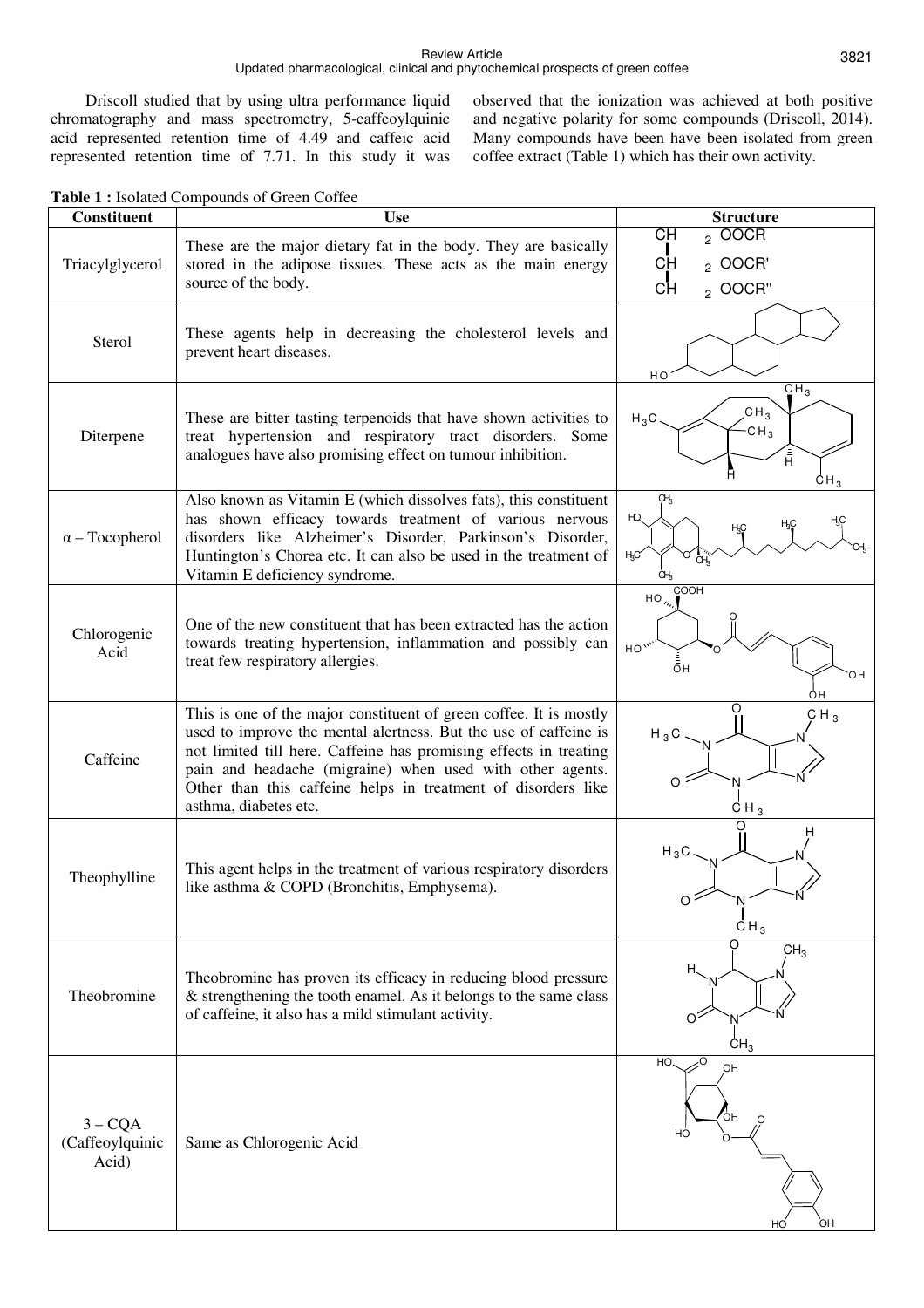#### Review Article Updated pharmacological, clinical and phytochemical prospects of green coffee

Driscoll studied that by using ultra performance liquid chromatography and mass spectrometry, 5-caffeoylquinic acid represented retention time of 4.49 and caffeic acid represented retention time of 7.71. In this study it was

observed that the ionization was achieved at both positive and negative polarity for some compounds (Driscoll, 2014). Many compounds have been have been isolated from green coffee extract (Table 1) which has their own activity.

| <b>Table 1: Isolated Compounds of Green Coffee</b> |  |
|----------------------------------------------------|--|
|----------------------------------------------------|--|

| <b>Constituent</b>                    | <b>Use</b>                                                                                                                                                                                                                                                                                                                                                         | <b>Structure</b>                                                                        |
|---------------------------------------|--------------------------------------------------------------------------------------------------------------------------------------------------------------------------------------------------------------------------------------------------------------------------------------------------------------------------------------------------------------------|-----------------------------------------------------------------------------------------|
| Triacylglycerol                       | These are the major dietary fat in the body. They are basically<br>stored in the adipose tissues. These acts as the main energy<br>source of the body.                                                                                                                                                                                                             | <b>CH</b><br>$_2$ OOCR<br><b>CH</b><br>$2$ OOCR'<br>CH<br>2 OOCR"                       |
| Sterol                                | These agents help in decreasing the cholesterol levels and<br>prevent heart diseases.                                                                                                                                                                                                                                                                              | HO                                                                                      |
| Diterpene                             | These are bitter tasting terpenoids that have shown activities to<br>treat hypertension and respiratory tract disorders. Some<br>analogues have also promising effect on tumour inhibition.                                                                                                                                                                        | CH <sub>3</sub><br>CH <sub>3</sub><br>$H_3C$<br>$-CH_3$<br>H<br>CH <sub>3</sub>         |
| $\alpha$ – Tocopherol                 | Also known as Vitamin E (which dissolves fats), this constituent<br>has shown efficacy towards treatment of various nervous<br>disorders like Alzheimer's Disorder, Parkinson's Disorder,<br>Huntington's Chorea etc. It can also be used in the treatment of<br>Vitamin E deficiency syndrome.                                                                    | ΟH <sub>3</sub><br>HQ<br>H3C<br>CН,<br>ŒŖ                                               |
| Chlorogenic<br>Acid                   | One of the new constituent that has been extracted has the action<br>towards treating hypertension, inflammation and possibly can<br>treat few respiratory allergies.                                                                                                                                                                                              | COOH<br>$HO_{\lambda}$<br>$HO^{\prime\prime}$<br>$\bar{\bar{\mathsf{o}}}$ H<br>OН<br>ÒН |
| Caffeine                              | This is one of the major constituent of green coffee. It is mostly<br>used to improve the mental alertness. But the use of caffeine is<br>not limited till here. Caffeine has promising effects in treating<br>pain and headache (migraine) when used with other agents.<br>Other than this caffeine helps in treatment of disorders like<br>asthma, diabetes etc. | O<br>CH <sub>3</sub><br>$H_3C$<br>O<br>$CH_3$                                           |
| Theophylline                          | This agent helps in the treatment of various respiratory disorders<br>like asthma & COPD (Bronchitis, Emphysema).                                                                                                                                                                                                                                                  | $H_3C$<br>CH <sub>3</sub>                                                               |
| Theobromine                           | Theobromine has proven its efficacy in reducing blood pressure<br>$&$ strengthening the tooth enamel. As it belongs to the same class<br>of caffeine, it also has a mild stimulant activity.                                                                                                                                                                       | CH <sub>3</sub><br>Н.<br>CH <sub>3</sub>                                                |
| $3 - CQA$<br>(Caffeoylquinic<br>Acid) | Same as Chlorogenic Acid                                                                                                                                                                                                                                                                                                                                           | HO<br>OH<br>OH<br>HO<br>OH<br>HO                                                        |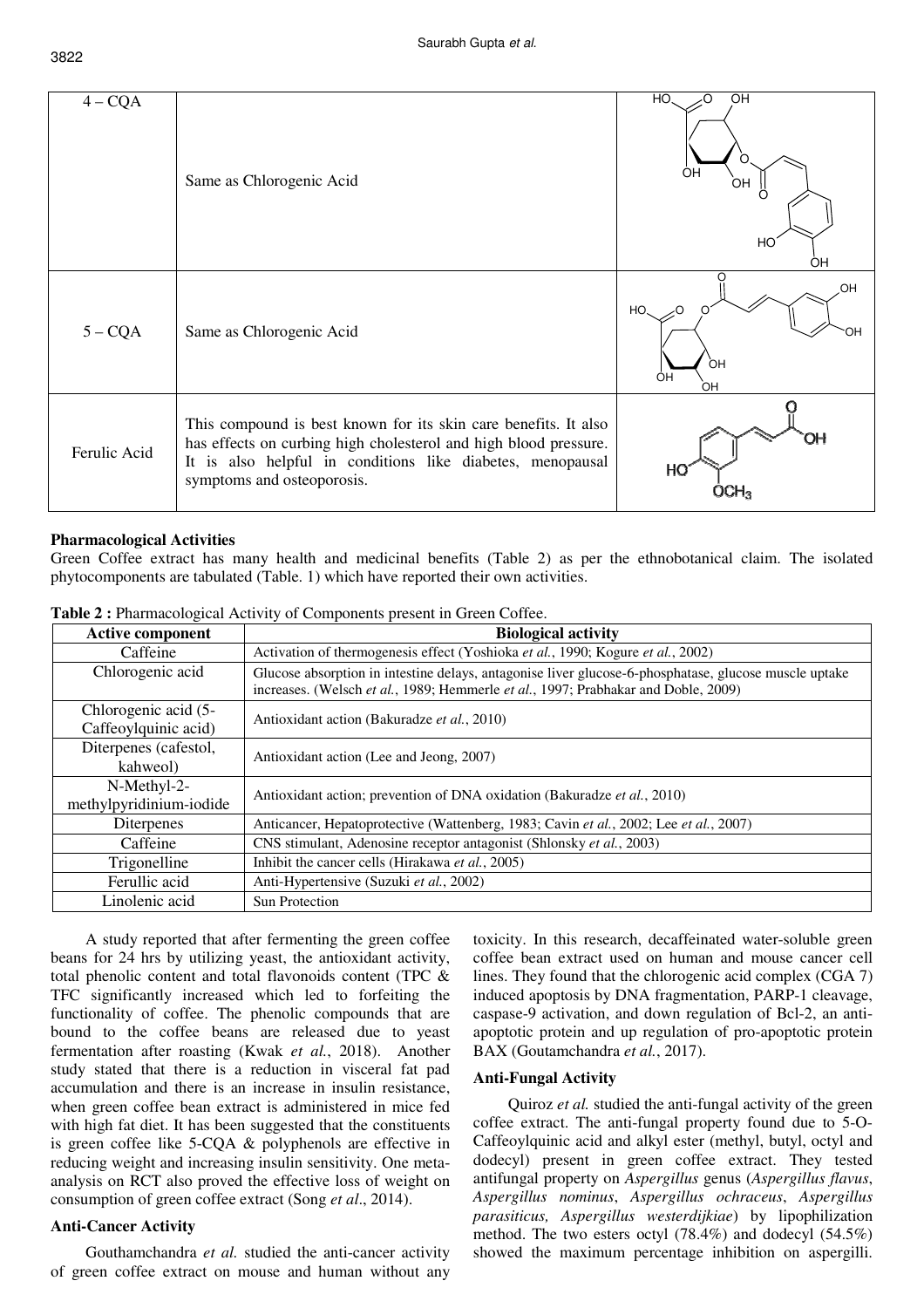| $4 - CQA$    | Same as Chlorogenic Acid                                                                                                                                                                                                        | HO.<br>OH<br>O<br>OH<br>OН<br>HO <sup>®</sup><br>OH |
|--------------|---------------------------------------------------------------------------------------------------------------------------------------------------------------------------------------------------------------------------------|-----------------------------------------------------|
| $5 - CQA$    | Same as Chlorogenic Acid                                                                                                                                                                                                        | OH<br>HO.<br>-0<br>OН<br>ÒН<br>ÓΗ<br>ЮH             |
| Ferulic Acid | This compound is best known for its skin care benefits. It also<br>has effects on curbing high cholesterol and high blood pressure.<br>It is also helpful in conditions like diabetes, menopausal<br>symptoms and osteoporosis. | OΗ<br>HO                                            |

#### **Pharmacological Activities**

Green Coffee extract has many health and medicinal benefits (Table 2) as per the ethnobotanical claim. The isolated phytocomponents are tabulated (Table. 1) which have reported their own activities.

| <b>Active component</b>                                                          | <b>Biological activity</b>                                                                                                                                                                  |  |  |  |
|----------------------------------------------------------------------------------|---------------------------------------------------------------------------------------------------------------------------------------------------------------------------------------------|--|--|--|
| Caffeine                                                                         | Activation of thermogenesis effect (Yoshioka et al., 1990; Kogure et al., 2002)                                                                                                             |  |  |  |
| Chlorogenic acid                                                                 | Glucose absorption in intestine delays, antagonise liver glucose-6-phosphatase, glucose muscle uptake<br>increases. (Welsch et al., 1989; Hemmerle et al., 1997; Prabhakar and Doble, 2009) |  |  |  |
| Chlorogenic acid (5-                                                             | Antioxidant action (Bakuradze et al., 2010)                                                                                                                                                 |  |  |  |
| Caffeoylquinic acid)                                                             |                                                                                                                                                                                             |  |  |  |
| Diterpenes (cafestol,                                                            | Antioxidant action (Lee and Jeong, 2007)                                                                                                                                                    |  |  |  |
| kahweol)                                                                         |                                                                                                                                                                                             |  |  |  |
| N-Methyl-2-                                                                      | Antioxidant action; prevention of DNA oxidation (Bakuradze et al., 2010)                                                                                                                    |  |  |  |
| methylpyridinium-iodide                                                          |                                                                                                                                                                                             |  |  |  |
| Diterpenes                                                                       | Anticancer, Hepatoprotective (Wattenberg, 1983; Cavin et al., 2002; Lee et al., 2007)                                                                                                       |  |  |  |
| CNS stimulant, Adenosine receptor antagonist (Shlonsky et al., 2003)<br>Caffeine |                                                                                                                                                                                             |  |  |  |
| Trigonelline                                                                     | Inhibit the cancer cells (Hirakawa et al., 2005)                                                                                                                                            |  |  |  |
| Ferullic acid                                                                    | Anti-Hypertensive (Suzuki et al., 2002)                                                                                                                                                     |  |  |  |
| Linolenic acid                                                                   | Sun Protection                                                                                                                                                                              |  |  |  |

**Table 2 : Pharmacological Activity of Components present in Green Coffee.** 

A study reported that after fermenting the green coffee beans for 24 hrs by utilizing yeast, the antioxidant activity, total phenolic content and total flavonoids content (TPC & TFC significantly increased which led to forfeiting the functionality of coffee. The phenolic compounds that are bound to the coffee beans are released due to yeast fermentation after roasting (Kwak *et al.*, 2018). Another study stated that there is a reduction in visceral fat pad accumulation and there is an increase in insulin resistance, when green coffee bean extract is administered in mice fed with high fat diet. It has been suggested that the constituents is green coffee like 5-CQA & polyphenols are effective in reducing weight and increasing insulin sensitivity. One metaanalysis on RCT also proved the effective loss of weight on consumption of green coffee extract (Song *et al*., 2014).

# **Anti-Cancer Activity**

Gouthamchandra *et al.* studied the anti-cancer activity of green coffee extract on mouse and human without any toxicity. In this research, decaffeinated water-soluble green coffee bean extract used on human and mouse cancer cell lines. They found that the chlorogenic acid complex (CGA 7) induced apoptosis by DNA fragmentation, PARP-1 cleavage, caspase-9 activation, and down regulation of Bcl-2, an antiapoptotic protein and up regulation of pro-apoptotic protein BAX (Goutamchandra *et al.*, 2017).

#### **Anti-Fungal Activity**

Quiroz *et al.* studied the anti-fungal activity of the green coffee extract. The anti-fungal property found due to 5-O-Caffeoylquinic acid and alkyl ester (methyl, butyl, octyl and dodecyl) present in green coffee extract. They tested antifungal property on *Aspergillus* genus (*Aspergillus flavus*, *Aspergillus nominus*, *Aspergillus ochraceus*, *Aspergillus parasiticus, Aspergillus westerdijkiae*) by lipophilization method. The two esters octyl (78.4%) and dodecyl (54.5%) showed the maximum percentage inhibition on aspergilli.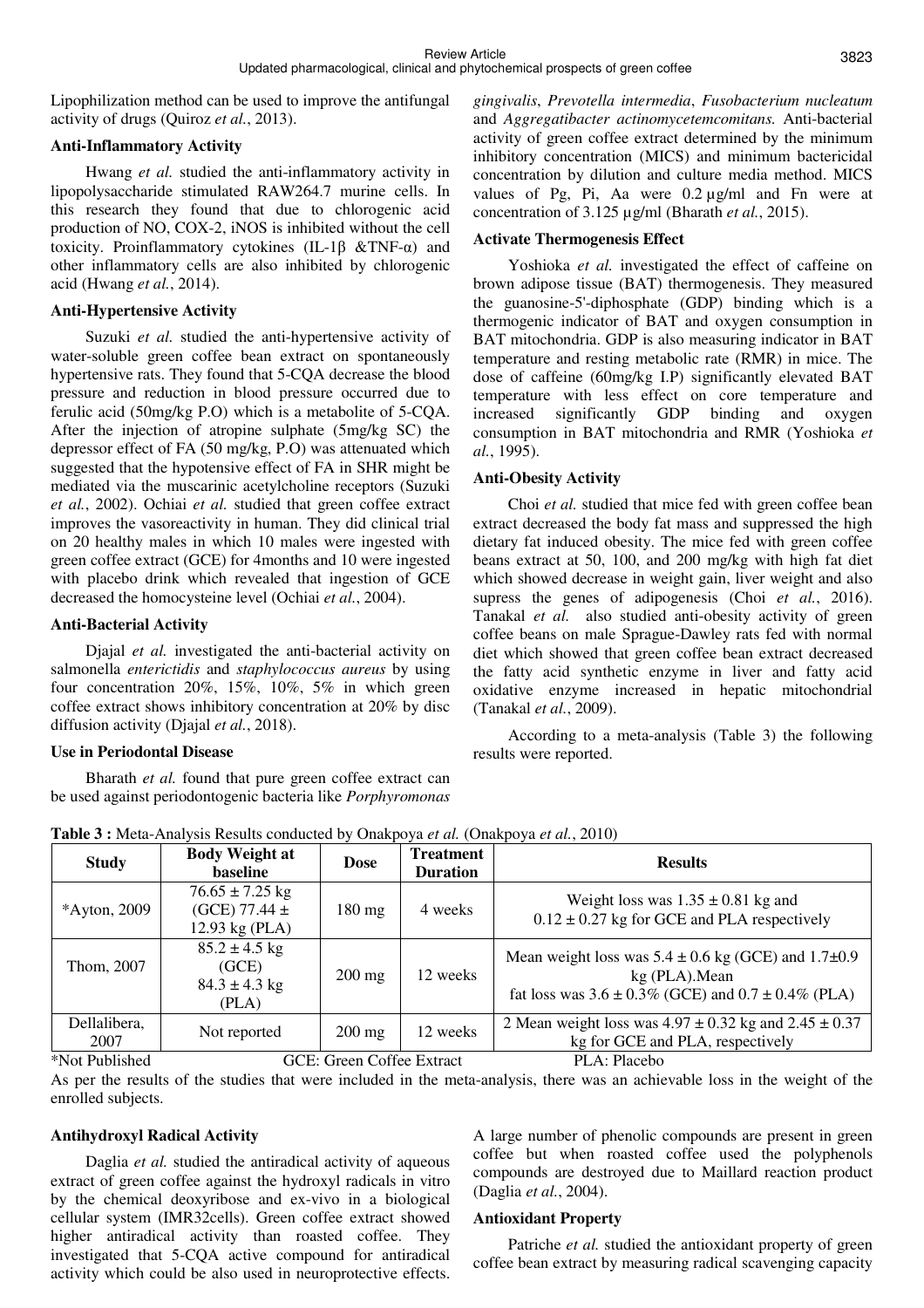Lipophilization method can be used to improve the antifungal activity of drugs (Quiroz *et al.*, 2013).

# **Anti-Inflammatory Activity**

Hwang *et al.* studied the anti-inflammatory activity in lipopolysaccharide stimulated RAW264.7 murine cells. In this research they found that due to chlorogenic acid production of NO, COX-2, iNOS is inhibited without the cell toxicity. Proinflammatory cytokines (IL-1β &TNF-α) and other inflammatory cells are also inhibited by chlorogenic acid (Hwang *et al.*, 2014).

### **Anti-Hypertensive Activity**

Suzuki *et al.* studied the anti-hypertensive activity of water-soluble green coffee bean extract on spontaneously hypertensive rats. They found that 5-CQA decrease the blood pressure and reduction in blood pressure occurred due to ferulic acid (50mg/kg P.O) which is a metabolite of 5-CQA. After the injection of atropine sulphate (5mg/kg SC) the depressor effect of FA (50 mg/kg, P.O) was attenuated which suggested that the hypotensive effect of FA in SHR might be mediated via the muscarinic acetylcholine receptors (Suzuki *et al.*, 2002). Ochiai *et al.* studied that green coffee extract improves the vasoreactivity in human. They did clinical trial on 20 healthy males in which 10 males were ingested with green coffee extract (GCE) for 4months and 10 were ingested with placebo drink which revealed that ingestion of GCE decreased the homocysteine level (Ochiai *et al.*, 2004).

### **Anti-Bacterial Activity**

Djajal *et al.* investigated the anti-bacterial activity on salmonella *enterictidis* and *staphylococcus aureus* by using four concentration 20%, 15%, 10%, 5% in which green coffee extract shows inhibitory concentration at 20% by disc diffusion activity (Djajal *et al.*, 2018).

# **Use in Periodontal Disease**

Bharath *et al.* found that pure green coffee extract can be used against periodontogenic bacteria like *Porphyromonas*  *gingivalis*, *Prevotella intermedia*, *Fusobacterium nucleatum* and *Aggregatibacter actinomycetemcomitans.* Anti-bacterial activity of green coffee extract determined by the minimum inhibitory concentration (MICS) and minimum bactericidal concentration by dilution and culture media method. MICS values of Pg, Pi, Aa were 0.2 µg/ml and Fn were at concentration of 3.125 µg/ml (Bharath *et al.*, 2015).

# **Activate Thermogenesis Effect**

Yoshioka *et al.* investigated the effect of caffeine on brown adipose tissue (BAT) thermogenesis. They measured the guanosine-5'-diphosphate (GDP) binding which is a thermogenic indicator of BAT and oxygen consumption in BAT mitochondria. GDP is also measuring indicator in BAT temperature and resting metabolic rate (RMR) in mice. The dose of caffeine (60mg/kg I.P) significantly elevated BAT temperature with less effect on core temperature and increased significantly GDP binding and oxygen consumption in BAT mitochondria and RMR (Yoshioka *et al.*, 1995).

# **Anti-Obesity Activity**

Choi *et al.* studied that mice fed with green coffee bean extract decreased the body fat mass and suppressed the high dietary fat induced obesity. The mice fed with green coffee beans extract at 50, 100, and 200 mg/kg with high fat diet which showed decrease in weight gain, liver weight and also supress the genes of adipogenesis (Choi *et al.*, 2016). Tanakal *et al.* also studied anti-obesity activity of green coffee beans on male Sprague-Dawley rats fed with normal diet which showed that green coffee bean extract decreased the fatty acid synthetic enzyme in liver and fatty acid oxidative enzyme increased in hepatic mitochondrial (Tanakal *et al.*, 2009).

According to a meta-analysis (Table 3) the following results were reported.

| <b>Study</b>         | <b>Body Weight at</b><br>baseline                          | <b>Dose</b>      | <b>Treatment</b><br><b>Duration</b> | <b>Results</b>                                                                                                                                 |
|----------------------|------------------------------------------------------------|------------------|-------------------------------------|------------------------------------------------------------------------------------------------------------------------------------------------|
| *Ayton, 2009         | $76.65 \pm 7.25$ kg<br>(GCE) 77.44 $\pm$<br>12.93 kg (PLA) | $180 \text{ mg}$ | 4 weeks                             | Weight loss was $1.35 \pm 0.81$ kg and<br>$0.12 \pm 0.27$ kg for GCE and PLA respectively                                                      |
| Thom, 2007           | $85.2 \pm 4.5$ kg<br>(GCE)<br>$84.3 \pm 4.3$ kg<br>(PLA)   | $200$ mg         | 12 weeks                            | Mean weight loss was $5.4 \pm 0.6$ kg (GCE) and $1.7\pm 0.9$<br>kg (PLA). Mean<br>fat loss was $3.6 \pm 0.3\%$ (GCE) and $0.7 \pm 0.4\%$ (PLA) |
| Dellalibera,<br>2007 | Not reported                                               | $200 \text{ mg}$ | 12 weeks                            | 2 Mean weight loss was $4.97 \pm 0.32$ kg and $2.45 \pm 0.37$<br>kg for GCE and PLA, respectively                                              |
| *Not Published       | GCE: Green Coffee Extract                                  |                  |                                     | PLA: Placebo                                                                                                                                   |

**Table 3 :** Meta-Analysis Results conducted by Onakpoya *et al.* (Onakpoya *et al.*, 2010)

As per the results of the studies that were included in the meta-analysis, there was an achievable loss in the weight of the enrolled subjects.

# **Antihydroxyl Radical Activity**

Daglia *et al.* studied the antiradical activity of aqueous extract of green coffee against the hydroxyl radicals in vitro by the chemical deoxyribose and ex-vivo in a biological cellular system (IMR32cells). Green coffee extract showed higher antiradical activity than roasted coffee. They investigated that 5-CQA active compound for antiradical activity which could be also used in neuroprotective effects. A large number of phenolic compounds are present in green coffee but when roasted coffee used the polyphenols compounds are destroyed due to Maillard reaction product (Daglia *et al.*, 2004).

#### **Antioxidant Property**

Patriche *et al.* studied the antioxidant property of green coffee bean extract by measuring radical scavenging capacity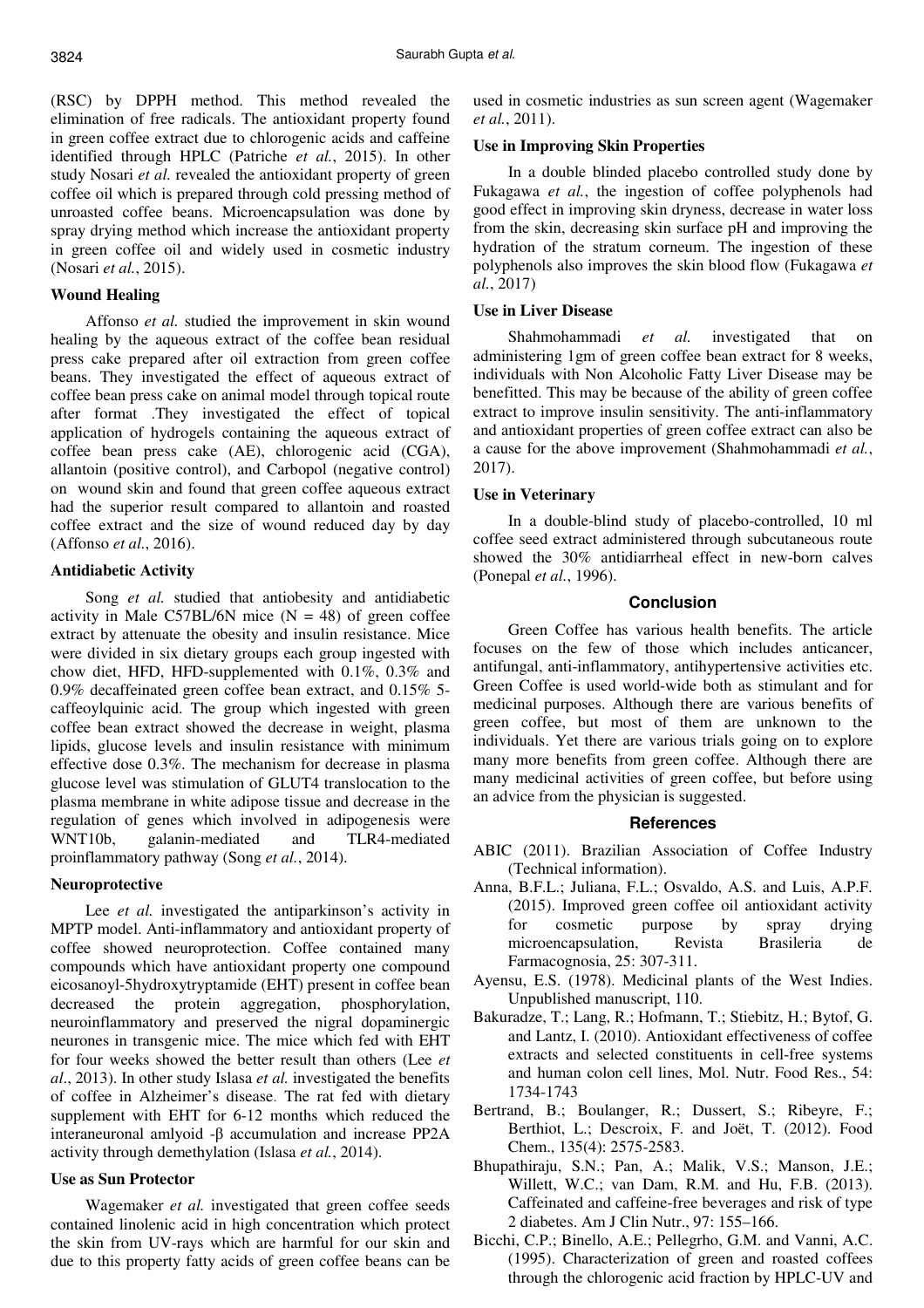(RSC) by DPPH method. This method revealed the elimination of free radicals. The antioxidant property found in green coffee extract due to chlorogenic acids and caffeine identified through HPLC (Patriche *et al.*, 2015). In other study Nosari *et al.* revealed the antioxidant property of green coffee oil which is prepared through cold pressing method of unroasted coffee beans. Microencapsulation was done by spray drying method which increase the antioxidant property in green coffee oil and widely used in cosmetic industry (Nosari *et al.*, 2015).

#### **Wound Healing**

Affonso *et al.* studied the improvement in skin wound healing by the aqueous extract of the coffee bean residual press cake prepared after oil extraction from green coffee beans. They investigated the effect of aqueous extract of coffee bean press cake on animal model through topical route after format .They investigated the effect of topical application of hydrogels containing the aqueous extract of coffee bean press cake (AE), chlorogenic acid (CGA), allantoin (positive control), and Carbopol (negative control) on wound skin and found that green coffee aqueous extract had the superior result compared to allantoin and roasted coffee extract and the size of wound reduced day by day (Affonso *et al.*, 2016).

### **Antidiabetic Activity**

Song *et al.* studied that antiobesity and antidiabetic activity in Male C57BL/6N mice  $(N = 48)$  of green coffee extract by attenuate the obesity and insulin resistance. Mice were divided in six dietary groups each group ingested with chow diet, HFD, HFD-supplemented with 0.1%, 0.3% and 0.9% decaffeinated green coffee bean extract, and 0.15% 5 caffeoylquinic acid. The group which ingested with green coffee bean extract showed the decrease in weight, plasma lipids, glucose levels and insulin resistance with minimum effective dose 0.3%. The mechanism for decrease in plasma glucose level was stimulation of GLUT4 translocation to the plasma membrane in white adipose tissue and decrease in the regulation of genes which involved in adipogenesis were WNT10b, galanin-mediated and TLR4-mediated proinflammatory pathway (Song *et al.*, 2014).

# **Neuroprotective**

Lee *et al.* investigated the antiparkinson's activity in MPTP model. Anti-inflammatory and antioxidant property of coffee showed neuroprotection. Coffee contained many compounds which have antioxidant property one compound eicosanoyl-5hydroxytryptamide (EHT) present in coffee bean decreased the protein aggregation, phosphorylation, neuroinflammatory and preserved the nigral dopaminergic neurones in transgenic mice. The mice which fed with EHT for four weeks showed the better result than others (Lee *et al*., 2013). In other study Islasa *et al.* investigated the benefits of coffee in Alzheimer's disease. The rat fed with dietary supplement with EHT for 6-12 months which reduced the interaneuronal amlyoid -β accumulation and increase PP2A activity through demethylation (Islasa *et al.*, 2014).

# **Use as Sun Protector**

Wagemaker *et al.* investigated that green coffee seeds contained linolenic acid in high concentration which protect the skin from UV-rays which are harmful for our skin and due to this property fatty acids of green coffee beans can be used in cosmetic industries as sun screen agent (Wagemaker *et al.*, 2011).

### **Use in Improving Skin Properties**

In a double blinded placebo controlled study done by Fukagawa *et al.*, the ingestion of coffee polyphenols had good effect in improving skin dryness, decrease in water loss from the skin, decreasing skin surface pH and improving the hydration of the stratum corneum. The ingestion of these polyphenols also improves the skin blood flow (Fukagawa *et al.*, 2017)

### **Use in Liver Disease**

Shahmohammadi *et al.* investigated that on administering 1gm of green coffee bean extract for 8 weeks, individuals with Non Alcoholic Fatty Liver Disease may be benefitted. This may be because of the ability of green coffee extract to improve insulin sensitivity. The anti-inflammatory and antioxidant properties of green coffee extract can also be a cause for the above improvement (Shahmohammadi *et al.*, 2017).

### **Use in Veterinary**

In a double-blind study of placebo-controlled, 10 ml coffee seed extract administered through subcutaneous route showed the 30% antidiarrheal effect in new-born calves (Ponepal *et al.*, 1996).

## **Conclusion**

Green Coffee has various health benefits. The article focuses on the few of those which includes anticancer, antifungal, anti-inflammatory, antihypertensive activities etc. Green Coffee is used world-wide both as stimulant and for medicinal purposes. Although there are various benefits of green coffee, but most of them are unknown to the individuals. Yet there are various trials going on to explore many more benefits from green coffee. Although there are many medicinal activities of green coffee, but before using an advice from the physician is suggested.

#### **References**

- ABIC (2011). Brazilian Association of Coffee Industry (Technical information).
- Anna, B.F.L.; Juliana, F.L.; Osvaldo, A.S. and Luis, A.P.F. (2015). Improved green coffee oil antioxidant activity for cosmetic purpose by spray drying microencapsulation, Revista Brasileria de Farmacognosia, 25: 307-311.
- Ayensu, E.S. (1978). Medicinal plants of the West Indies. Unpublished manuscript, 110.
- Bakuradze, T.; Lang, R.; Hofmann, T.; Stiebitz, H.; Bytof, G. and Lantz, I. (2010). Antioxidant effectiveness of coffee extracts and selected constituents in cell-free systems and human colon cell lines, Mol. Nutr. Food Res., 54: 1734-1743
- Bertrand, B.; Boulanger, R.; Dussert, S.; Ribeyre, F.; Berthiot, L.; Descroix, F. and Joët, T. (2012). Food Chem., 135(4): 2575-2583.
- Bhupathiraju, S.N.; Pan, A.; Malik, V.S.; Manson, J.E.; Willett, W.C.; van Dam, R.M. and Hu, F.B. (2013). Caffeinated and caffeine-free beverages and risk of type 2 diabetes. Am J Clin Nutr., 97: 155–166.
- Bicchi, C.P.; Binello, A.E.; Pellegrho, G.M. and Vanni, A.C. (1995). Characterization of green and roasted coffees through the chlorogenic acid fraction by HPLC-UV and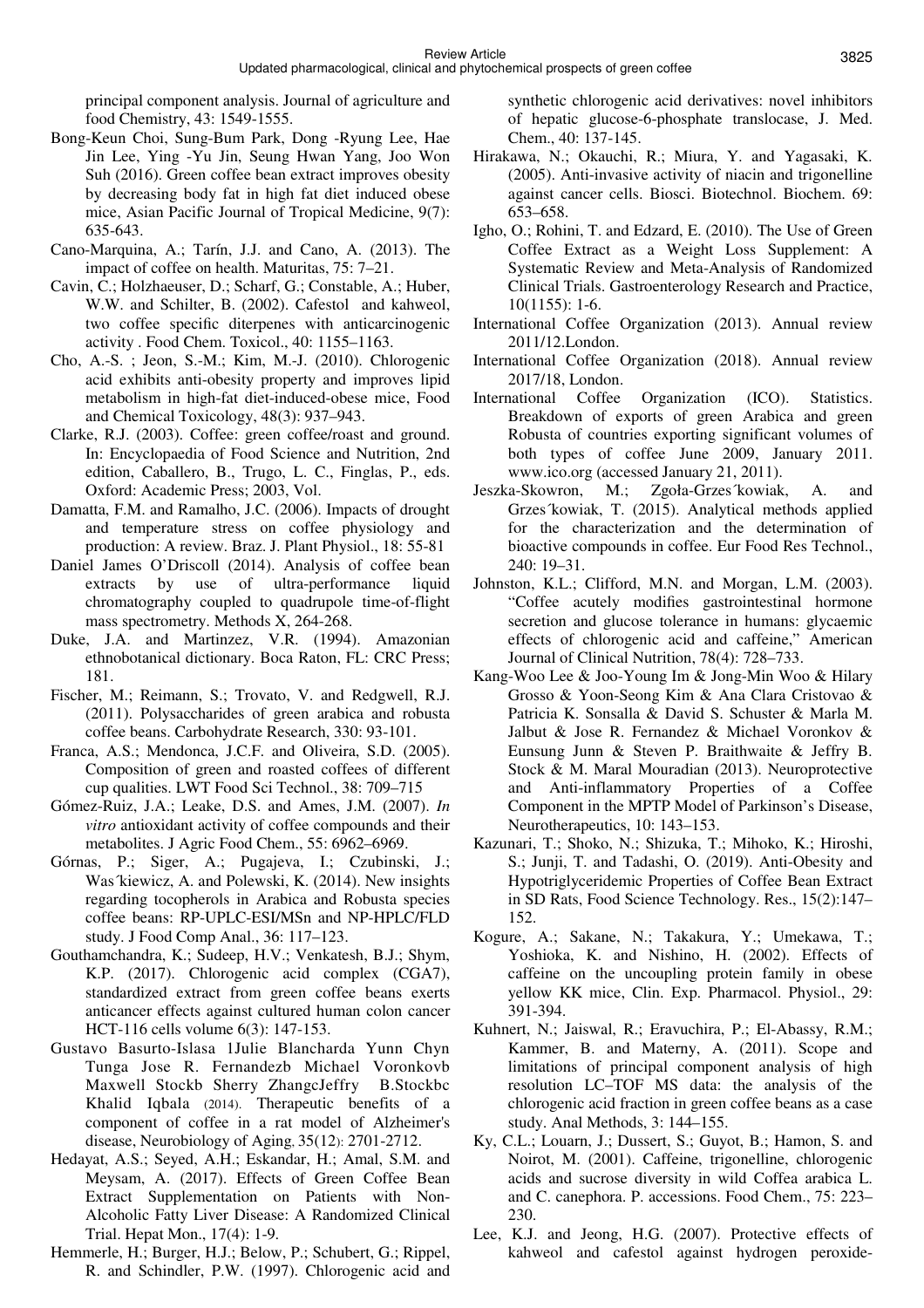principal component analysis. Journal of agriculture and food Chemistry, 43: 1549-1555.

- Bong-Keun Choi, Sung-Bum Park, Dong -Ryung Lee, Hae Jin Lee, Ying -Yu Jin, Seung Hwan Yang, Joo Won Suh (2016). Green coffee bean extract improves obesity by decreasing body fat in high fat diet induced obese mice, Asian Pacific Journal of Tropical Medicine, 9(7): 635-643.
- Cano-Marquina, A.; Tarín, J.J. and Cano, A. (2013). The impact of coffee on health. Maturitas, 75: 7–21.
- Cavin, C.; Holzhaeuser, D.; Scharf, G.; Constable, A.; Huber, W.W. and Schilter, B. (2002). Cafestol and kahweol, two coffee specific diterpenes with anticarcinogenic activity . Food Chem. Toxicol., 40: 1155–1163.
- Cho, A.-S. ; Jeon, S.-M.; Kim, M.-J. (2010). Chlorogenic acid exhibits anti-obesity property and improves lipid metabolism in high-fat diet-induced-obese mice, Food and Chemical Toxicology, 48(3): 937–943.
- Clarke, R.J. (2003). Coffee: green coffee/roast and ground. In: Encyclopaedia of Food Science and Nutrition, 2nd edition, Caballero, B., Trugo, L. C., Finglas, P., eds. Oxford: Academic Press; 2003, Vol.
- Damatta, F.M. and Ramalho, J.C. (2006). Impacts of drought and temperature stress on coffee physiology and production: A review. Braz. J. Plant Physiol., 18: 55-81
- Daniel James O'Driscoll (2014). Analysis of coffee bean extracts by use of ultra-performance liquid chromatography coupled to quadrupole time-of-flight mass spectrometry. Methods X, 264-268.
- Duke, J.A. and Martinzez, V.R. (1994). Amazonian ethnobotanical dictionary. Boca Raton, FL: CRC Press; 181.
- Fischer, M.; Reimann, S.; Trovato, V. and Redgwell, R.J. (2011). Polysaccharides of green arabica and robusta coffee beans. Carbohydrate Research, 330: 93-101.
- Franca, A.S.; Mendonca, J.C.F. and Oliveira, S.D. (2005). Composition of green and roasted coffees of different cup qualities. LWT Food Sci Technol., 38: 709–715
- Gómez-Ruiz, J.A.; Leake, D.S. and Ames, J.M. (2007). *In vitro* antioxidant activity of coffee compounds and their metabolites. J Agric Food Chem., 55: 6962–6969.
- Górnas, P.; Siger, A.; Pugajeva, I.; Czubinski, J.; Was´kiewicz, A. and Polewski, K. (2014). New insights regarding tocopherols in Arabica and Robusta species coffee beans: RP-UPLC-ESI/MSn and NP-HPLC/FLD study. J Food Comp Anal., 36: 117–123.
- Gouthamchandra, K.; Sudeep, H.V.; Venkatesh, B.J.; Shym, K.P. (2017). Chlorogenic acid complex (CGA7), standardized extract from green coffee beans exerts anticancer effects against cultured human colon cancer HCT-116 cells volume 6(3): 147-153.
- Gustavo Basurto-Islasa 1Julie Blancharda Yunn Chyn Tunga Jose R. Fernandezb Michael Voronkovb Maxwell Stockb Sherry ZhangcJeffry B.Stockbc Khalid Iqbala (2014). Therapeutic benefits of a component of coffee in a rat model of Alzheimer's disease, Neurobiology of Aging, 35(12): 2701-2712.
- Hedayat, A.S.; Seyed, A.H.; Eskandar, H.; Amal, S.M. and Meysam, A. (2017). Effects of Green Coffee Bean Extract Supplementation on Patients with Non-Alcoholic Fatty Liver Disease: A Randomized Clinical Trial. Hepat Mon., 17(4): 1-9.
- Hemmerle, H.; Burger, H.J.; Below, P.; Schubert, G.; Rippel, R. and Schindler, P.W. (1997). Chlorogenic acid and

synthetic chlorogenic acid derivatives: novel inhibitors of hepatic glucose-6-phosphate translocase, J. Med. Chem., 40: 137-145.

- Hirakawa, N.; Okauchi, R.; Miura, Y. and Yagasaki, K. (2005). Anti-invasive activity of niacin and trigonelline against cancer cells. Biosci. Biotechnol. Biochem. 69: 653–658.
- Igho, O.; Rohini, T. and Edzard, E. (2010). The Use of Green Coffee Extract as a Weight Loss Supplement: A Systematic Review and Meta-Analysis of Randomized Clinical Trials. Gastroenterology Research and Practice, 10(1155): 1-6.
- International Coffee Organization (2013). Annual review 2011/12.London.
- International Coffee Organization (2018). Annual review 2017/18, London.
- International Coffee Organization (ICO). Statistics. Breakdown of exports of green Arabica and green Robusta of countries exporting significant volumes of both types of coffee June 2009, January 2011. www.ico.org (accessed January 21, 2011).
- Jeszka-Skowron, M.; Zgoła-Grzes´kowiak, A. and Grzes´kowiak, T. (2015). Analytical methods applied for the characterization and the determination of bioactive compounds in coffee. Eur Food Res Technol., 240: 19–31.
- Johnston, K.L.; Clifford, M.N. and Morgan, L.M. (2003). "Coffee acutely modifies gastrointestinal hormone secretion and glucose tolerance in humans: glycaemic effects of chlorogenic acid and caffeine," American Journal of Clinical Nutrition, 78(4): 728–733.
- Kang-Woo Lee & Joo-Young Im & Jong-Min Woo & Hilary Grosso & Yoon-Seong Kim & Ana Clara Cristovao & Patricia K. Sonsalla & David S. Schuster & Marla M. Jalbut & Jose R. Fernandez & Michael Voronkov & Eunsung Junn & Steven P. Braithwaite & Jeffry B. Stock & M. Maral Mouradian (2013). Neuroprotective and Anti-inflammatory Properties of a Coffee Component in the MPTP Model of Parkinson's Disease, Neurotherapeutics, 10: 143–153.
- Kazunari, T.; Shoko, N.; Shizuka, T.; Mihoko, K.; Hiroshi, S.; Junji, T. and Tadashi, O. (2019). Anti-Obesity and Hypotriglyceridemic Properties of Coffee Bean Extract in SD Rats, Food Science Technology. Res., 15(2):147– 152.
- Kogure, A.; Sakane, N.; Takakura, Y.; Umekawa, T.; Yoshioka, K. and Nishino, H. (2002). Effects of caffeine on the uncoupling protein family in obese yellow KK mice, Clin. Exp. Pharmacol. Physiol., 29: 391-394.
- Kuhnert, N.; Jaiswal, R.; Eravuchira, P.; El-Abassy, R.M.; Kammer, B. and Materny, A. (2011). Scope and limitations of principal component analysis of high resolution LC–TOF MS data: the analysis of the chlorogenic acid fraction in green coffee beans as a case study. Anal Methods, 3: 144–155.
- Ky, C.L.; Louarn, J.; Dussert, S.; Guyot, B.; Hamon, S. and Noirot, M. (2001). Caffeine, trigonelline, chlorogenic acids and sucrose diversity in wild Coffea arabica L. and C. canephora. P. accessions. Food Chem., 75: 223– 230.
- Lee, K.J. and Jeong, H.G. (2007). Protective effects of kahweol and cafestol against hydrogen peroxide-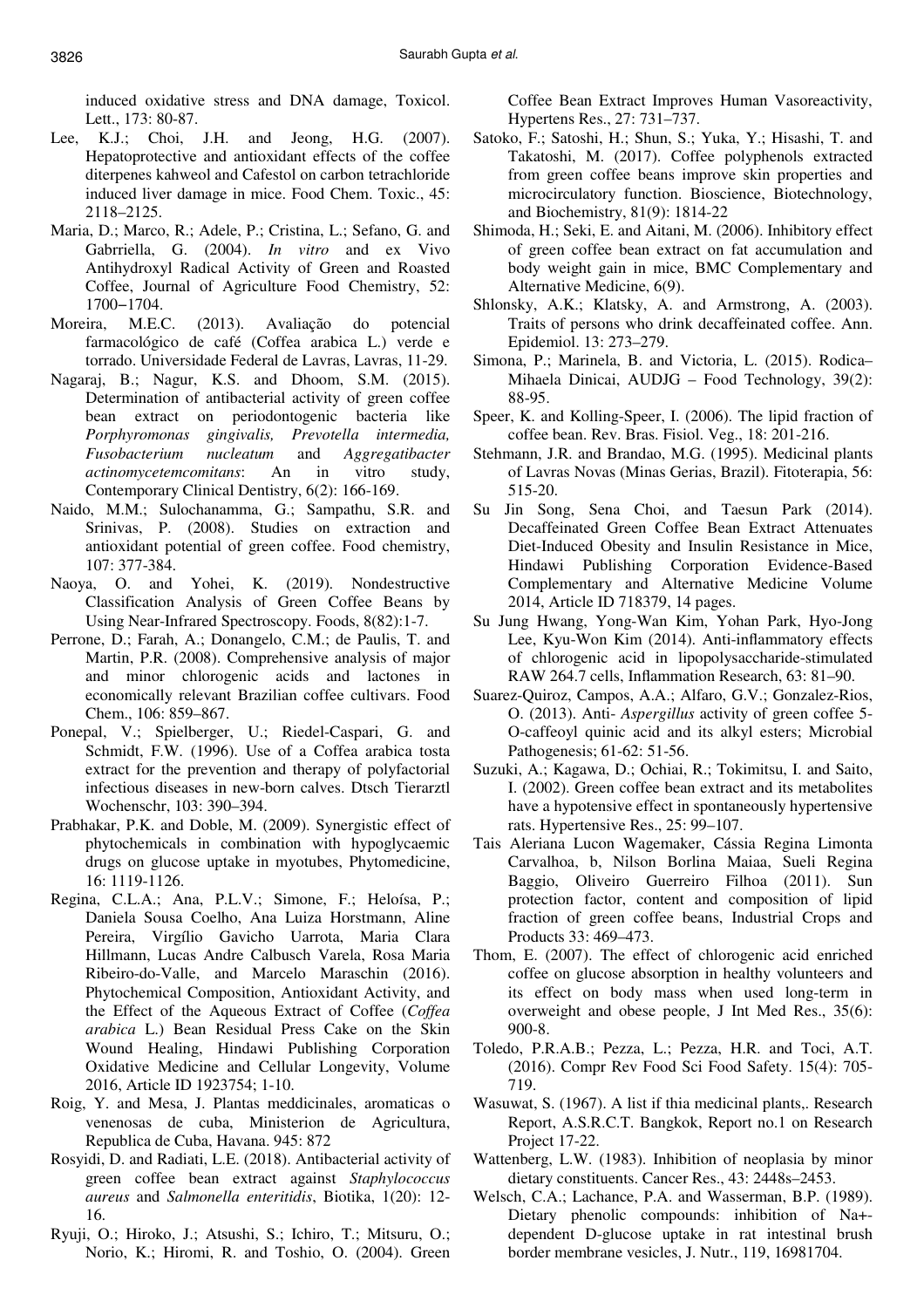induced oxidative stress and DNA damage, Toxicol. Lett., 173: 80-87.

- Lee, K.J.; Choi, J.H. and Jeong, H.G. (2007). Hepatoprotective and antioxidant effects of the coffee diterpenes kahweol and Cafestol on carbon tetrachloride induced liver damage in mice. Food Chem. Toxic., 45: 2118–2125.
- Maria, D.; Marco, R.; Adele, P.; Cristina, L.; Sefano, G. and Gabrriella, G. (2004). *In vitro* and ex Vivo Antihydroxyl Radical Activity of Green and Roasted Coffee, Journal of Agriculture Food Chemistry, 52:
- 1700-1704.<br>ira. M.E.C. Moreira, M.E.C. (2013). Avaliação do potencial farmacológico de café (Coffea arabica L.) verde e torrado. Universidade Federal de Lavras, Lavras, 11-29.
- Nagaraj, B.; Nagur, K.S. and Dhoom, S.M. (2015). Determination of antibacterial activity of green coffee bean extract on periodontogenic bacteria like *Porphyromonas gingivalis, Prevotella intermedia, Fusobacterium nucleatum* and *Aggregatibacter actinomycetemcomitans*: An in vitro study, Contemporary Clinical Dentistry, 6(2): 166-169.
- Naido, M.M.; Sulochanamma, G.; Sampathu, S.R. and Srinivas, P. (2008). Studies on extraction and antioxidant potential of green coffee. Food chemistry, 107: 377-384.
- Naoya, O. and Yohei, K. (2019). Nondestructive Classification Analysis of Green Coffee Beans by Using Near-Infrared Spectroscopy. Foods, 8(82):1-7.
- Perrone, D.; Farah, A.; Donangelo, C.M.; de Paulis, T. and Martin, P.R. (2008). Comprehensive analysis of major and minor chlorogenic acids and lactones in economically relevant Brazilian coffee cultivars. Food Chem., 106: 859–867.
- Ponepal, V.; Spielberger, U.; Riedel-Caspari, G. and Schmidt, F.W. (1996). Use of a Coffea arabica tosta extract for the prevention and therapy of polyfactorial infectious diseases in new-born calves. Dtsch Tierarztl Wochenschr, 103: 390–394.
- Prabhakar, P.K. and Doble, M. (2009). Synergistic effect of phytochemicals in combination with hypoglycaemic drugs on glucose uptake in myotubes, Phytomedicine, 16: 1119-1126.
- Regina, C.L.A.; Ana, P.L.V.; Simone, F.; Heloísa, P.; Daniela Sousa Coelho, Ana Luiza Horstmann, Aline Pereira, Virgílio Gavicho Uarrota, Maria Clara Hillmann, Lucas Andre Calbusch Varela, Rosa Maria Ribeiro-do-Valle, and Marcelo Maraschin (2016). Phytochemical Composition, Antioxidant Activity, and the Effect of the Aqueous Extract of Coffee (*Coffea arabica* L.) Bean Residual Press Cake on the Skin Wound Healing, Hindawi Publishing Corporation Oxidative Medicine and Cellular Longevity, Volume 2016, Article ID 1923754; 1-10.
- Roig, Y. and Mesa, J. Plantas meddicinales, aromaticas o venenosas de cuba, Ministerion de Agricultura, Republica de Cuba, Havana. 945: 872
- Rosyidi, D. and Radiati, L.E. (2018). Antibacterial activity of green coffee bean extract against *Staphylococcus aureus* and *Salmonella enteritidis*, Biotika, 1(20): 12- 16.
- Ryuji, O.; Hiroko, J.; Atsushi, S.; Ichiro, T.; Mitsuru, O.; Norio, K.; Hiromi, R. and Toshio, O. (2004). Green

Coffee Bean Extract Improves Human Vasoreactivity, Hypertens Res., 27: 731–737.

- Satoko, F.; Satoshi, H.; Shun, S.; Yuka, Y.; Hisashi, T. and Takatoshi, M. (2017). Coffee polyphenols extracted from green coffee beans improve skin properties and microcirculatory function. Bioscience, Biotechnology, and Biochemistry, 81(9): 1814-22
- Shimoda, H.; Seki, E. and Aitani, M. (2006). Inhibitory effect of green coffee bean extract on fat accumulation and body weight gain in mice, BMC Complementary and Alternative Medicine, 6(9).
- Shlonsky, A.K.; Klatsky, A. and Armstrong, A. (2003). Traits of persons who drink decaffeinated coffee. Ann. Epidemiol. 13: 273–279.
- Simona, P.; Marinela, B. and Victoria, L. (2015). Rodica– Mihaela Dinicai, AUDJG – Food Technology, 39(2): 88-95.
- Speer, K. and Kolling-Speer, I. (2006). The lipid fraction of coffee bean. Rev. Bras. Fisiol. Veg., 18: 201-216.
- Stehmann, J.R. and Brandao, M.G. (1995). Medicinal plants of Lavras Novas (Minas Gerias, Brazil). Fitoterapia, 56: 515-20.
- Su Jin Song, Sena Choi, and Taesun Park (2014). Decaffeinated Green Coffee Bean Extract Attenuates Diet-Induced Obesity and Insulin Resistance in Mice, Hindawi Publishing Corporation Evidence-Based Complementary and Alternative Medicine Volume 2014, Article ID 718379, 14 pages.
- Su Jung Hwang, Yong-Wan Kim, Yohan Park, Hyo-Jong Lee, Kyu-Won Kim (2014). Anti-inflammatory effects of chlorogenic acid in lipopolysaccharide-stimulated RAW 264.7 cells, Inflammation Research, 63: 81–90.
- Suarez-Quiroz, Campos, A.A.; Alfaro, G.V.; Gonzalez-Rios, O. (2013). Anti- *Aspergillus* activity of green coffee 5- O-caffeoyl quinic acid and its alkyl esters; Microbial Pathogenesis; 61-62: 51-56.
- Suzuki, A.; Kagawa, D.; Ochiai, R.; Tokimitsu, I. and Saito, I. (2002). Green coffee bean extract and its metabolites have a hypotensive effect in spontaneously hypertensive rats. Hypertensive Res., 25: 99–107.
- Tais Aleriana Lucon Wagemaker, Cássia Regina Limonta Carvalhoa, b, Nilson Borlina Maiaa, Sueli Regina Baggio, Oliveiro Guerreiro Filhoa (2011). Sun protection factor, content and composition of lipid fraction of green coffee beans, Industrial Crops and Products 33: 469–473.
- Thom, E. (2007). The effect of chlorogenic acid enriched coffee on glucose absorption in healthy volunteers and its effect on body mass when used long-term in overweight and obese people, J Int Med Res., 35(6): 900-8.
- Toledo, P.R.A.B.; Pezza, L.; Pezza, H.R. and Toci, A.T. (2016). Compr Rev Food Sci Food Safety. 15(4): 705- 719.
- Wasuwat, S. (1967). A list if thia medicinal plants,. Research Report, A.S.R.C.T. Bangkok, Report no.1 on Research Project 17-22.
- Wattenberg, L.W. (1983). Inhibition of neoplasia by minor dietary constituents. Cancer Res., 43: 2448s–2453.
- Welsch, C.A.; Lachance, P.A. and Wasserman, B.P. (1989). Dietary phenolic compounds: inhibition of Na+ dependent D-glucose uptake in rat intestinal brush border membrane vesicles, J. Nutr., 119, 16981704.